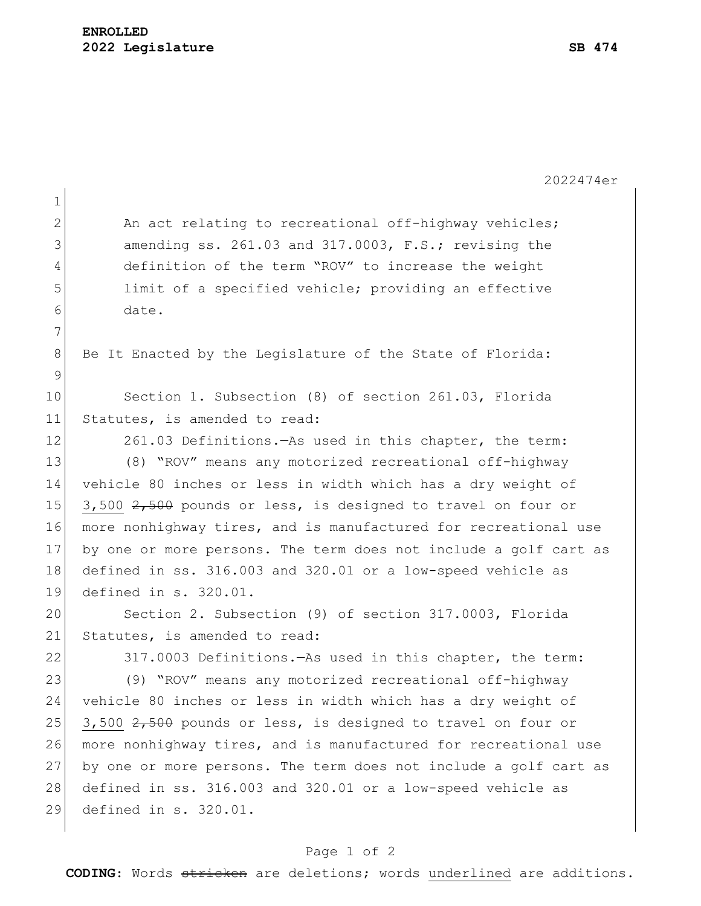|                | 2022474er                                                        |
|----------------|------------------------------------------------------------------|
| $\mathbf 1$    |                                                                  |
| $\overline{2}$ | An act relating to recreational off-highway vehicles;            |
| 3              | amending ss. 261.03 and 317.0003, F.S.; revising the             |
| 4              | definition of the term "ROV" to increase the weight              |
| 5              | limit of a specified vehicle; providing an effective             |
| 6              | date.                                                            |
| 7              |                                                                  |
| 8              | Be It Enacted by the Legislature of the State of Florida:        |
| 9              |                                                                  |
| 10             | Section 1. Subsection (8) of section 261.03, Florida             |
| 11             | Statutes, is amended to read:                                    |
| 12             | 261.03 Definitions. - As used in this chapter, the term:         |
| 13             | (8) "ROV" means any motorized recreational off-highway           |
| 14             | vehicle 80 inches or less in width which has a dry weight of     |
| 15             | 3,500 2,500 pounds or less, is designed to travel on four or     |
| 16             | more nonhighway tires, and is manufactured for recreational use  |
| 17             | by one or more persons. The term does not include a golf cart as |
| 18             | defined in ss. 316.003 and 320.01 or a low-speed vehicle as      |
| 19             | defined in s. 320.01.                                            |
| 20             | Section 2. Subsection (9) of section 317.0003, Florida           |
| 21             | Statutes, is amended to read:                                    |
| 22             | 317.0003 Definitions. - As used in this chapter, the term:       |
| 23             | (9) "ROV" means any motorized recreational off-highway           |
| 24             | vehicle 80 inches or less in width which has a dry weight of     |
| 25             | 3,500 2,500 pounds or less, is designed to travel on four or     |
| 26             | more nonhighway tires, and is manufactured for recreational use  |
| 27             | by one or more persons. The term does not include a golf cart as |
| 28             | defined in ss. 316.003 and 320.01 or a low-speed vehicle as      |
| 29             | defined in s. 320.01.                                            |
|                |                                                                  |

## Page 1 of 2

**CODING**: Words stricken are deletions; words underlined are additions.